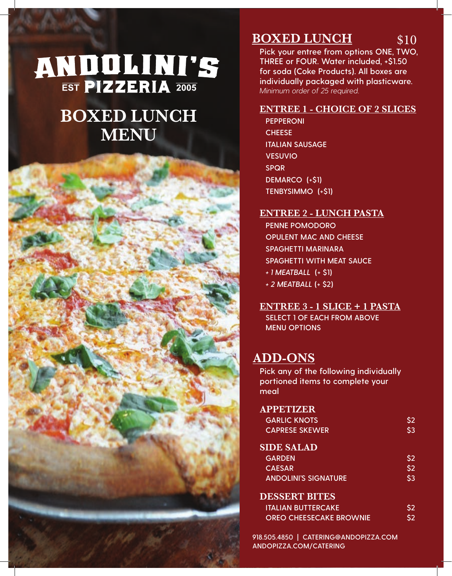# **ANDOLINI'S**

## **BOXED LUNCH MENU**



## **BOXED LUNCH** \$10

**Pick your entree from options ONE, TWO, THREE or FOUR. Water included, +\$1.50 for soda (Coke Products). All boxes are individually packaged with plasticware.**  *Minimum order of 25 required.*

## **ENTREE 1 - CHOICE OF 2 SLICES**

**PEPPERONI CHEESE ITALIAN SAUSAGE VESUVIO SPQR DEMARCO (+\$1) TENBYSIMMO (+\$1)**

## **ENTREE 2 - LUNCH PASTA**

**PENNE POMODORO OPULENT MAC AND CHEESE SPAGHETTI MARINARA SPAGHETTI WITH MEAT SAUCE** *+ 1 MEATBALL* **(+ \$1)** *+ 2 MEATBALL* **(+ \$2)**

**ENTREE 3 - 1 SLICE + 1 PASTA SELECT 1 OF EACH FROM ABOVE MENU OPTIONS**

## **ADD-ONS**

**Pick any of the following individually portioned items to complete your meal**

## **APPETIZER**

| <b>GARLIC KNOTS</b>   | \$2 |
|-----------------------|-----|
| <b>CAPRESE SKEWER</b> | \$3 |

## **SIDE SALAD**

| <b>GARDEN</b>                                | \$2                   |
|----------------------------------------------|-----------------------|
| <b>CAESAR</b><br><b>ANDOLINI'S SIGNATURE</b> | S <sub>2</sub><br>\$3 |

#### **DESSERT BITES**

| <b>ITALIAN BUTTERCAKE.</b>     | S <sub>2</sub> |
|--------------------------------|----------------|
| <b>OREO CHEESECAKE BROWNIE</b> | S <sub>2</sub> |

**918.505.4850 | CATERING@ANDOPIZZA.COM ANDOPIZZA.COM/CATERING**